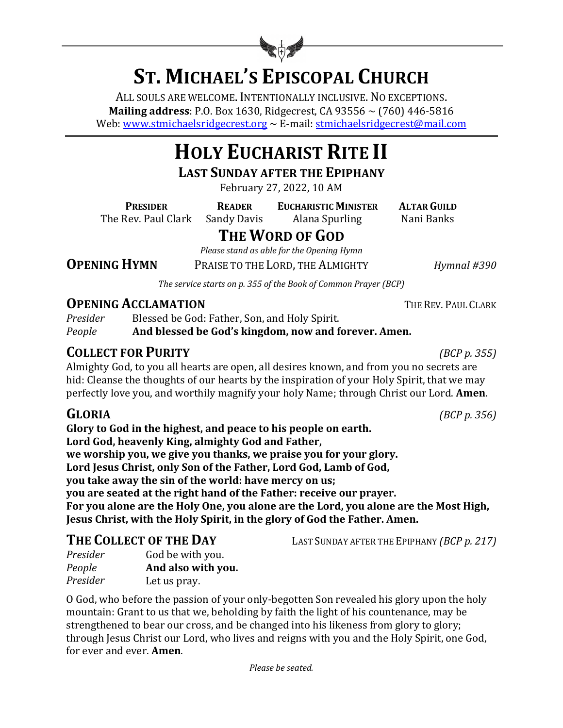

# **ST. MICHAEL'S EPISCOPAL CHURCH**

ALL SOULS ARE WELCOME. INTENTIONALLY INCLUSIVE. NO EXCEPTIONS. **Mailing address**: P.O. Box 1630, Ridgecrest, CA 93556  $\sim$  (760) 446-5816 Web: www.stmichaelsridgecrest.org  $\sim$  E-mail: stmichaelsridgecrest@mail.com

# **HOLY EUCHARIST RITE II**

**LAST SUNDAY AFTER THE EPIPHANY** 

February 27, 2022, 10 AM

**PRESIDER READER EUCHARISTIC MINISTER ALTAR GUILD** 

The Rev. Paul Clark Sandy Davis Alana Spurling Nani Banks

LAST SUNDAY AFTER THE EPIPHANY *(BCP p. 217)* 

# **THE WORD OF GOD**

*Please stand as able for the Opening Hymn*

**OPENING HYMN** PRAISE TO THE LORD, THE ALMIGHTY *Hymnal* #390

The service starts on p. 355 of the Book of Common Prayer (BCP)

# **OPENING ACCLAMATION** THE REV. PAUL CLARK

*Presider* Blessed be God: Father, Son, and Holy Spirit. *People* **And blessed be God's kingdom, now and forever. Amen.** 

# **COLLECT FOR PURITY** *(BCP p. 355)*

Almighty God, to you all hearts are open, all desires known, and from you no secrets are hid: Cleanse the thoughts of our hearts by the inspiration of your Holy Spirit, that we may perfectly love you, and worthily magnify your holy Name; through Christ our Lord. **Amen**.

Glory to God in the highest, and peace to his people on earth. Lord God, heavenly King, almighty God and Father, we worship you, we give you thanks, we praise you for your glory. Lord Jesus Christ, only Son of the Father, Lord God, Lamb of God, **you take away the sin of the world: have mercy on us; you are seated at the right hand of the Father: receive our prayer.** For you alone are the Holy One, you alone are the Lord, you alone are the Most High, **Jesus Christ, with the Holy Spirit, in the glory of God the Father. Amen.** 

| THE COLLECT OF THE DAY |                    |
|------------------------|--------------------|
| Presider               | God be with you.   |
| People                 | And also with you. |

*Presider* Let us pray.

O God, who before the passion of your only-begotten Son revealed his glory upon the holy mountain: Grant to us that we, beholding by faith the light of his countenance, may be strengthened to bear our cross, and be changed into his likeness from glory to glory; through Jesus Christ our Lord, who lives and reigns with you and the Holy Spirit, one God, for ever and ever. **Amen**.

**GLORIA** *(BCP p. 356)*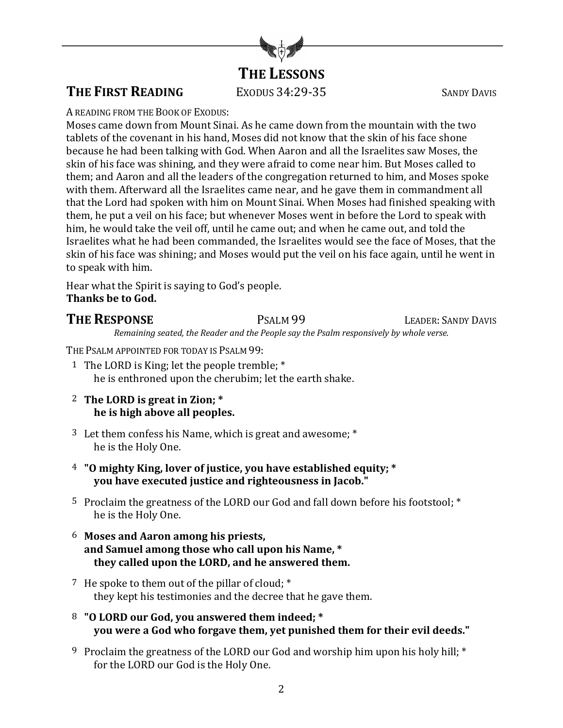

# **THE FIRST READING** EXODUS 34:29-35 SANDY DAVIS

A READING FROM THE BOOK OF EXODUS:

Moses came down from Mount Sinai. As he came down from the mountain with the two tablets of the covenant in his hand. Moses did not know that the skin of his face shone because he had been talking with God. When Aaron and all the Israelites saw Moses, the skin of his face was shining, and they were afraid to come near him. But Moses called to them; and Aaron and all the leaders of the congregation returned to him, and Moses spoke with them. Afterward all the Israelites came near, and he gave them in commandment all that the Lord had spoken with him on Mount Sinai. When Moses had finished speaking with them, he put a veil on his face; but whenever Moses went in before the Lord to speak with him, he would take the veil off, until he came out; and when he came out, and told the Israelites what he had been commanded, the Israelites would see the face of Moses, that the skin of his face was shining; and Moses would put the veil on his face again, until he went in to speak with him.

Hear what the Spirit is saying to God's people. **Thanks be to God.** 

# **THE RESPONSE** PSALM 99 LEADER: SANDY DAVIS

*Remaining seated, the Reader and the People say the Psalm responsively by whole verse.*

THE PSALM APPOINTED FOR TODAY IS PSALM 99:

- 1 The LORD is King; let the people tremble; \* he is enthroned upon the cherubim; let the earth shake.
- 2 The LORD is great in Zion; \* **he** is high above all peoples.
- 3 Let them confess his Name, which is great and awesome;  $*$ he is the Holy One.
- <sup>4</sup> "O mighty King, lover of justice, you have established equity; \*  **you have executed justice and righteousness in Jacob."**
- 5 Proclaim the greatness of the LORD our God and fall down before his footstool; \* he is the Holy One.
- 6 Moses and Aaron among his priests, and Samuel among those who call upon his Name, \* they called upon the LORD, and he answered them.
- 7 He spoke to them out of the pillar of cloud;  $*$ they kept his testimonies and the decree that he gave them.
- 8 "O LORD our God, you answered them indeed; \* **You** were a God who forgave them, yet punished them for their evil deeds."
- 9 Proclaim the greatness of the LORD our God and worship him upon his holy hill; \* for the LORD our God is the Holy One.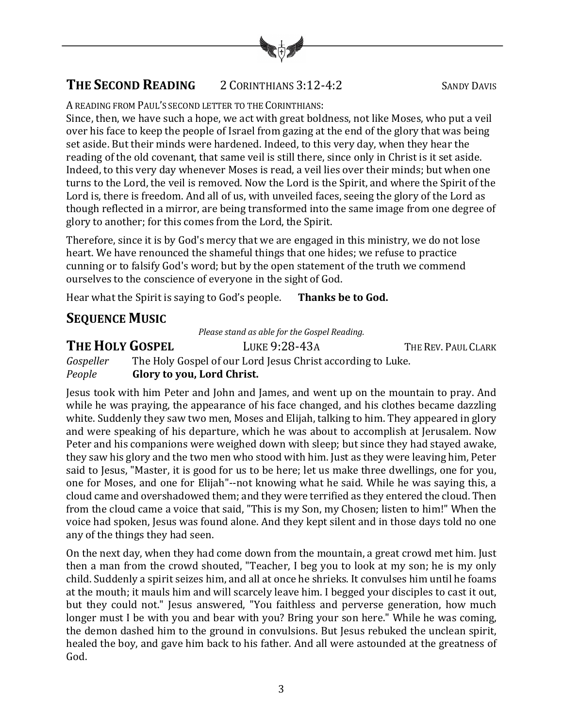

# **THE SECOND READING** 2 CORINTHIANS 3:12-4:2

A READING FROM PAUL'S SECOND LETTER TO THE CORINTHIANS:

Since, then, we have such a hope, we act with great boldness, not like Moses, who put a veil over his face to keep the people of Israel from gazing at the end of the glory that was being set aside. But their minds were hardened. Indeed, to this very day, when they hear the reading of the old covenant, that same veil is still there, since only in Christ is it set aside. Indeed, to this very day whenever Moses is read, a veil lies over their minds; but when one turns to the Lord, the veil is removed. Now the Lord is the Spirit, and where the Spirit of the Lord is, there is freedom. And all of us, with unveiled faces, seeing the glory of the Lord as though reflected in a mirror, are being transformed into the same image from one degree of glory to another; for this comes from the Lord, the Spirit.

Therefore, since it is by God's mercy that we are engaged in this ministry, we do not lose heart. We have renounced the shameful things that one hides; we refuse to practice cunning or to falsify God's word; but by the open statement of the truth we commend ourselves to the conscience of everyone in the sight of God.

Hear what the Spirit is saying to God's people. Thanks be to God.

# **SEQUENCE MUSIC**

*Please stand as able for the Gospel Reading.* 

**THE HOLY GOSPEL** LUKE 9:28-43A THE REV. PAUL CLARK

*Gospeller* The Holy Gospel of our Lord Jesus Christ according to Luke. *People* **Glory to you, Lord Christ.** 

Jesus took with him Peter and John and James, and went up on the mountain to pray. And while he was praying, the appearance of his face changed, and his clothes became dazzling white. Suddenly they saw two men, Moses and Elijah, talking to him. They appeared in glory and were speaking of his departure, which he was about to accomplish at Jerusalem. Now Peter and his companions were weighed down with sleep; but since they had stayed awake, they saw his glory and the two men who stood with him. Just as they were leaving him, Peter said to Jesus, "Master, it is good for us to be here; let us make three dwellings, one for you, one for Moses, and one for Elijah"--not knowing what he said. While he was saying this, a cloud came and overshadowed them; and they were terrified as they entered the cloud. Then from the cloud came a voice that said, "This is my Son, my Chosen; listen to him!" When the voice had spoken, Jesus was found alone. And they kept silent and in those days told no one any of the things they had seen.

On the next day, when they had come down from the mountain, a great crowd met him. Just then a man from the crowd shouted, "Teacher, I beg you to look at my son; he is my only child. Suddenly a spirit seizes him, and all at once he shrieks. It convulses him until he foams at the mouth; it mauls him and will scarcely leave him. I begged your disciples to cast it out, but they could not." Jesus answered, "You faithless and perverse generation, how much longer must I be with you and bear with you? Bring your son here." While he was coming, the demon dashed him to the ground in convulsions. But Jesus rebuked the unclean spirit, healed the boy, and gave him back to his father. And all were astounded at the greatness of God.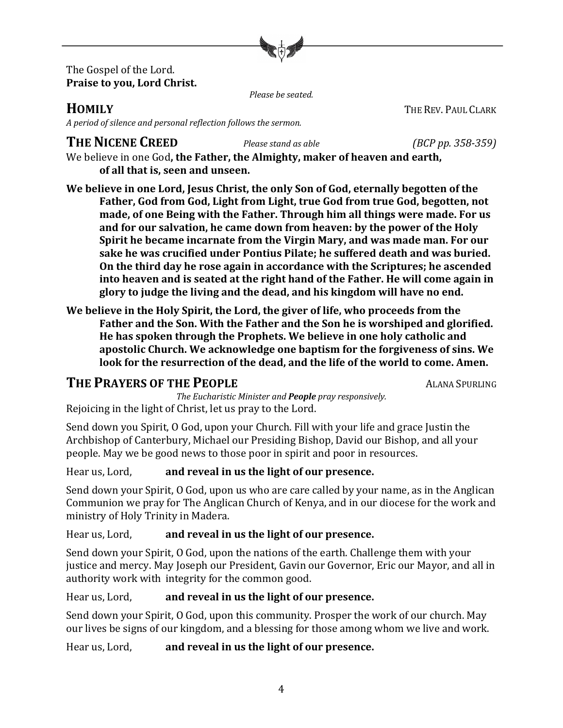

#### The Gospel of the Lord. **Praise to you, Lord Christ.**

*Please be seated.*

### **HOMILY** THE REV. PAUL CLARK

*A period of silence and personal reflection follows the sermon.*

# **THE NICENE CREED** *Please stand as able (BCP pp. 358-359)*

We believe in one God, the Father, the Almighty, maker of heaven and earth, of all that is, seen and unseen.

We believe in one Lord, Jesus Christ, the only Son of God, eternally begotten of the Father, God from God, Light from Light, true God from true God, begotten, not made, of one Being with the Father. Through him all things were made. For us and for our salvation, he came down from heaven: by the power of the Holy **Spirit he became incarnate from the Virgin Mary, and was made man. For our** sake he was crucified under Pontius Pilate; he suffered death and was buried. On the third day he rose again in accordance with the Scriptures; he ascended into heaven and is seated at the right hand of the Father. He will come again in glory to judge the living and the dead, and his kingdom will have no end.

We believe in the Holy Spirit, the Lord, the giver of life, who proceeds from the Father and the Son. With the Father and the Son he is worshiped and glorified. He has spoken through the Prophets. We believe in one holy catholic and apostolic Church. We acknowledge one baptism for the forgiveness of sins. We look for the resurrection of the dead, and the life of the world to come. Amen.

# **THE PRAYERS OF THE PEOPLE ALANA SPURLING**

*The Eucharistic Minister and People pray responsively.* Rejoicing in the light of Christ, let us pray to the Lord.

Send down you Spirit, O God, upon your Church. Fill with your life and grace Justin the Archbishop of Canterbury, Michael our Presiding Bishop, David our Bishop, and all your people. May we be good news to those poor in spirit and poor in resources.

Hear us, Lord, **and reveal in us the light of our presence.** 

Send down your Spirit, O God, upon us who are care called by your name, as in the Anglican Communion we pray for The Anglican Church of Kenya, and in our diocese for the work and ministry of Holy Trinity in Madera.

Hear us, Lord, **and reveal in us the light of our presence.** 

Send down your Spirit, O God, upon the nations of the earth. Challenge them with your justice and mercy. May Joseph our President, Gavin our Governor, Eric our Mayor, and all in authority work with integrity for the common good.

Hear us, Lord, **and reveal in us the light of our presence.** 

Send down your Spirit, O God, upon this community. Prosper the work of our church. May our lives be signs of our kingdom, and a blessing for those among whom we live and work.

Hear us, Lord, **and reveal in us the light of our presence.**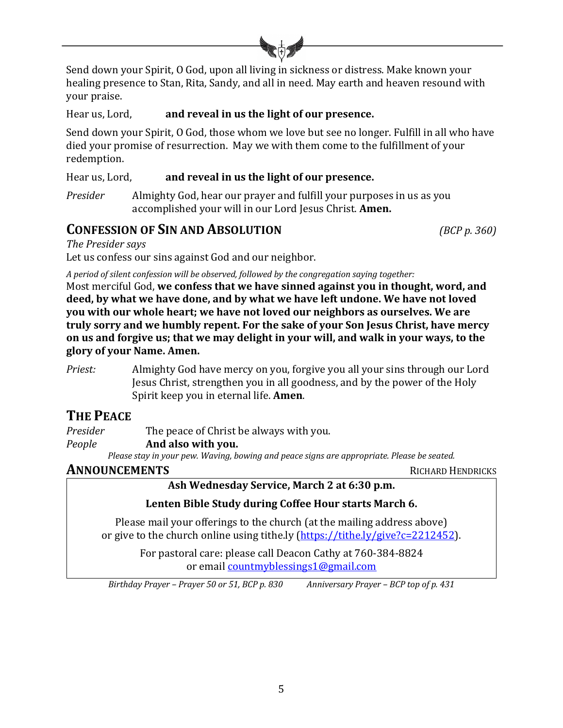

Send down your Spirit, O God, upon all living in sickness or distress. Make known your healing presence to Stan, Rita, Sandy, and all in need. May earth and heaven resound with your praise.

Hear us, Lord, **and reveal in us the light of our presence.** 

Send down your Spirit, O God, those whom we love but see no longer. Fulfill in all who have died your promise of resurrection. May we with them come to the fulfillment of your redemption.

Hear us, Lord, **and reveal in us the light of our presence.** 

*Presider* Almighty God, hear our prayer and fulfill your purposes in us as you accomplished your will in our Lord Jesus Christ. **Amen.** 

### **CONFESSION OF SIN AND ABSOLUTION** *(BCP p. 360)*

*The Presider says*

Let us confess our sins against God and our neighbor.

*A* period of silent confession will be observed, followed by the congregation saying together:

Most merciful God, we confess that we have sinned against you in thought, word, and deed, by what we have done, and by what we have left undone. We have not loved **you** with our whole heart; we have not loved our neighbors as ourselves. We are **truly sorry and we humbly repent. For the sake of your Son Jesus Christ, have mercy on** us and forgive us; that we may delight in your will, and walk in your ways, to the **glory of your Name. Amen.**

*Priest:* Almighty God have mercy on you, forgive you all your sins through our Lord Jesus Christ, strengthen you in all goodness, and by the power of the Holy Spirit keep you in eternal life. **Amen**.

# **THE PEACE**

*Presider* The peace of Christ be always with you.

*People* **And also with you.** 

Please stay in your pew. Waving, bowing and peace signs are appropriate. Please be seated.

#### **ANNOUNCEMENTS** RICHARD HENDRICKS

Ash Wednesday Service, March 2 at 6:30 p.m.

#### Lenten Bible Study during Coffee Hour starts March 6.

Please mail your offerings to the church (at the mailing address above) or give to the church online using tithe.ly (https://tithe.ly/give?c=2212452).

For pastoral care: please call Deacon Cathy at 760-384-8824 or email countmyblessings1@gmail.com

*Birthday Prayer – Prayer 50 or 51, BCP p. 830 Anniversary Prayer – BCP top of p. 431*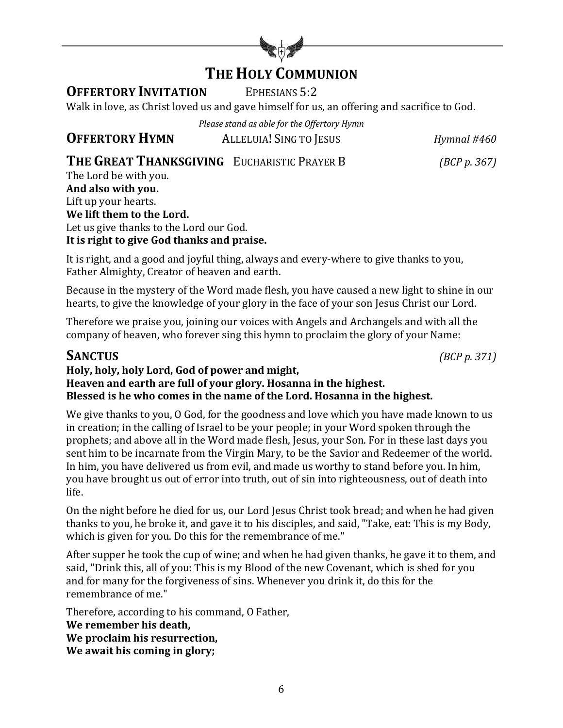

# **THE HOLY COMMUNION**

## **OFFERTORY INVITATION** EPHESIANS 5:2

Walk in love, as Christ loved us and gave himself for us, an offering and sacrifice to God.

*Please stand as able for the Offertory Hymn*

**OFFERTORY HYMN** ALLELUIA! SING TO JESUS *Hymnal* #460

# **THE GREAT THANKSGIVING** EUCHARISTIC PRAYER B *(BCP p. 367)*

The Lord be with you. **And also with you.** Lift up your hearts. We lift them to the Lord. Let us give thanks to the Lord our God. It is right to give God thanks and praise.

It is right, and a good and joyful thing, always and every-where to give thanks to you, Father Almighty, Creator of heaven and earth.

Because in the mystery of the Word made flesh, you have caused a new light to shine in our hearts, to give the knowledge of your glory in the face of your son Jesus Christ our Lord.

Therefore we praise you, joining our voices with Angels and Archangels and with all the company of heaven, who forever sing this hymn to proclaim the glory of your Name:

### **SANCTUS** *(BCP p. 371)*

#### Holy, holy, holy Lord, God of power and might, Heaven and earth are full of your glory. Hosanna in the highest. Blessed is he who comes in the name of the Lord. Hosanna in the highest.

We give thanks to you, O God, for the goodness and love which you have made known to us in creation; in the calling of Israel to be your people; in your Word spoken through the prophets; and above all in the Word made flesh, Jesus, your Son. For in these last days you sent him to be incarnate from the Virgin Mary, to be the Savior and Redeemer of the world. In him, you have delivered us from evil, and made us worthy to stand before you. In him, you have brought us out of error into truth, out of sin into righteousness, out of death into life.

On the night before he died for us, our Lord Jesus Christ took bread; and when he had given thanks to you, he broke it, and gave it to his disciples, and said, "Take, eat: This is my Body, which is given for you. Do this for the remembrance of me."

After supper he took the cup of wine; and when he had given thanks, he gave it to them, and said, "Drink this, all of you: This is my Blood of the new Covenant, which is shed for you and for many for the forgiveness of sins. Whenever you drink it, do this for the remembrance of me."

Therefore, according to his command, O Father, We remember his death, We proclaim his resurrection, We await his coming in glory;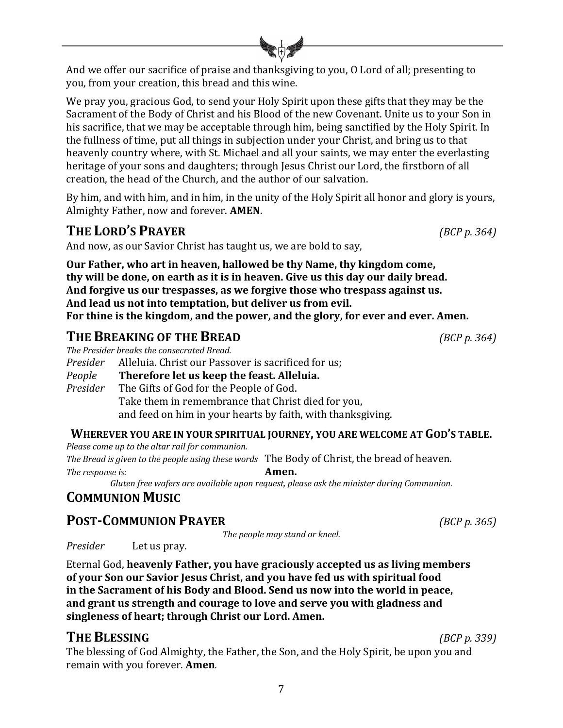And we offer our sacrifice of praise and thanksgiving to you, O Lord of all; presenting to you, from your creation, this bread and this wine.

We pray you, gracious God, to send your Holy Spirit upon these gifts that they may be the Sacrament of the Body of Christ and his Blood of the new Covenant. Unite us to your Son in his sacrifice, that we may be acceptable through him, being sanctified by the Holy Spirit. In the fullness of time, put all things in subjection under your Christ, and bring us to that heavenly country where, with St. Michael and all your saints, we may enter the everlasting heritage of your sons and daughters; through Jesus Christ our Lord, the firstborn of all creation, the head of the Church, and the author of our salvation.

By him, and with him, and in him, in the unity of the Holy Spirit all honor and glory is yours, Almighty Father, now and forever. **AMEN.** 

# **THE LORD'S PRAYER** *(BCP p. 364)*

And now, as our Savior Christ has taught us, we are bold to say,

**Our Father, who art in heaven, hallowed be thy Name, thy kingdom come,** thy will be done, on earth as it is in heaven. Give us this day our daily bread. And forgive us our trespasses, as we forgive those who trespass against us. And lead us not into temptation, but deliver us from evil. For thine is the kingdom, and the power, and the glory, for ever and ever. Amen.

# **THE BREAKING OF THE BREAD** *(BCP p. 364)*

*The Presider breaks the consecrated Bread.* 

*Presider* Alleluia. Christ our Passover is sacrificed for us;

*People* **Therefore let us keep the feast. Alleluia.** *Presider* The Gifts of God for the People of God.

Take them in remembrance that Christ died for you, and feed on him in your hearts by faith, with thanksgiving.

#### WHEREVER YOU ARE IN YOUR SPIRITUAL JOURNEY, YOU ARE WELCOME AT GOD'S TABLE.

*Please come up to the altar rail for communion.* The Bread is given to the people using these words The Body of Christ, the bread of heaven. *The response is:* **Amen.** 

Gluten free wafers are available upon request, please ask the minister during Communion.

# **COMMUNION MUSIC**

# **POST-COMMUNION PRAYER** *(BCP p. 365)*

The people may stand or kneel.

*Presider* Let us pray.

Eternal God, heavenly Father, you have graciously accepted us as living members of your Son our Savior Jesus Christ, and you have fed us with spiritual food in the Sacrament of his Body and Blood. Send us now into the world in peace, and grant us strength and courage to love and serve you with gladness and singleness of heart; through Christ our Lord. Amen.

# **THE BLESSING** *(BCP p. 339)*

The blessing of God Almighty, the Father, the Son, and the Holy Spirit, be upon you and remain with you forever. **Amen**.